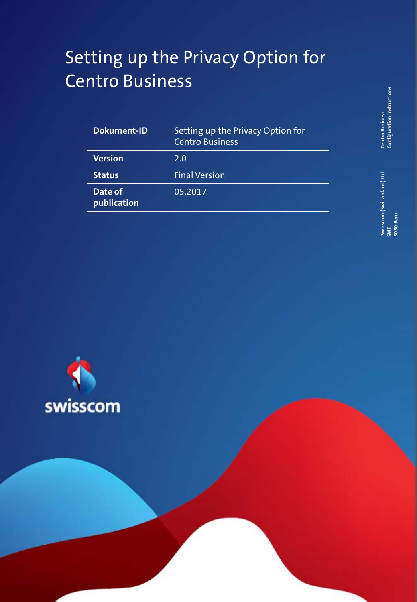# Setting up the Privacy Option for Centro Business

| Dokument-ID            | Setting up the Privacy Option for<br><b>Centro Business</b> |
|------------------------|-------------------------------------------------------------|
| <b>Version</b>         | 2.0                                                         |
| <b>Status</b>          | <b>Final Version</b>                                        |
| Date of<br>publication | 05.2017                                                     |

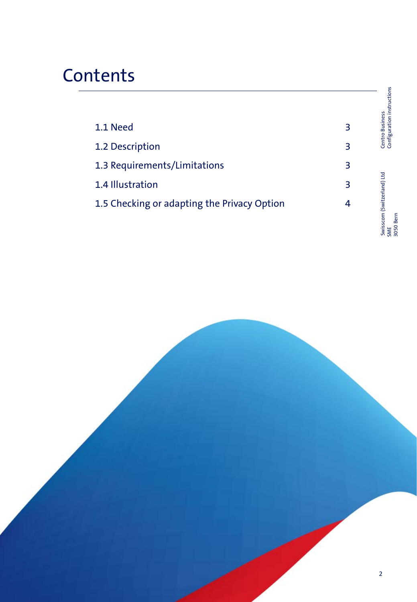# **Contents**

|                                             |   | Configuration instructions                     |
|---------------------------------------------|---|------------------------------------------------|
| 1.1 Need                                    | 3 | <b>Centro Business</b>                         |
| 1.2 Description                             | 3 |                                                |
| 1.3 Requirements/Limitations                | 3 |                                                |
| 1.4 Illustration                            | 3 |                                                |
| 1.5 Checking or adapting the Privacy Option | 4 |                                                |
|                                             |   | swisscom (Switzerland) Ltd<br>3050 Bern<br>SME |

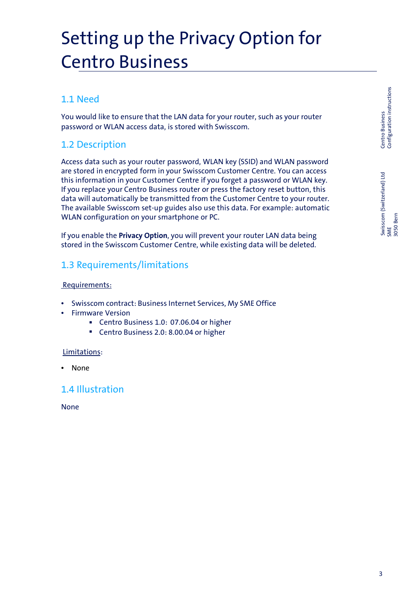# Setting up the Privacy Option for Centro Business

## 1.1 Need

You would like to ensure that the LAN data for your router, such as your router password or WLAN access data, is stored with Swisscom.

### 1.2 Description

Access data such as your router password, WLAN key (SSID) and WLAN password are stored in encrypted form in your Swisscom Customer Centre. You can access this information in your Customer Centre if you forget a password or WLAN key. If you replace your Centro Business router or press the factory reset button, this data will automatically be transmitted from the Customer Centre to your router. The available Swisscom set-up guides also use this data. For example: automatic WLAN configuration on your smartphone or PC.

If you enable the **Privacy Option**, you will prevent your router LAN data being stored in the Swisscom Customer Centre, while existing data will be deleted.

### 1.3 Requirements/limitations

#### Requirements:

- Swisscom contract: Business Internet Services, My SME Office
- Firmware Version
	- Centro Business 1.0: 07.06.04 or higher
	- Centro Business 2.0: 8.00.04 or higher

#### Limitations:

• None

### 1.4 Illustration

None